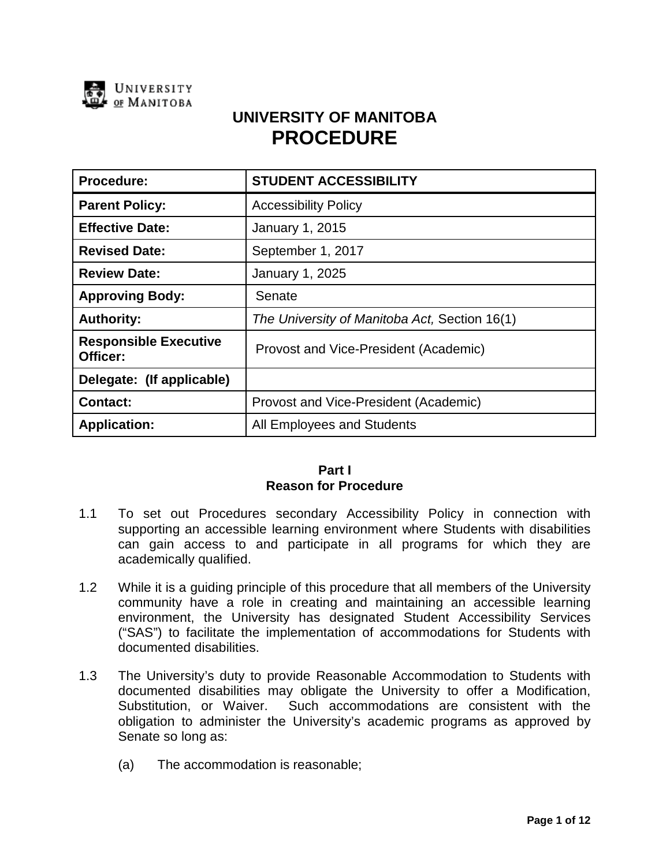

# **UNIVERSITY OF MANITOBA PROCEDURE**

| <b>Procedure:</b>                        | <b>STUDENT ACCESSIBILITY</b>                  |
|------------------------------------------|-----------------------------------------------|
| <b>Parent Policy:</b>                    | <b>Accessibility Policy</b>                   |
| <b>Effective Date:</b>                   | January 1, 2015                               |
| <b>Revised Date:</b>                     | September 1, 2017                             |
| <b>Review Date:</b>                      | January 1, 2025                               |
| <b>Approving Body:</b>                   | Senate                                        |
| <b>Authority:</b>                        | The University of Manitoba Act, Section 16(1) |
| <b>Responsible Executive</b><br>Officer: | Provost and Vice-President (Academic)         |
| Delegate: (If applicable)                |                                               |
| <b>Contact:</b>                          | Provost and Vice-President (Academic)         |
| <b>Application:</b>                      | All Employees and Students                    |

# **Part I Reason for Procedure**

- 1.1 To set out Procedures secondary Accessibility Policy in connection with supporting an accessible learning environment where Students with disabilities can gain access to and participate in all programs for which they are academically qualified.
- 1.2 While it is a guiding principle of this procedure that all members of the University community have a role in creating and maintaining an accessible learning environment, the University has designated Student Accessibility Services ("SAS") to facilitate the implementation of accommodations for Students with documented disabilities.
- 1.3 The University's duty to provide Reasonable Accommodation to Students with documented disabilities may obligate the University to offer a Modification, Substitution, or Waiver. Such accommodations are consistent with the obligation to administer the University's academic programs as approved by Senate so long as:
	- (a) The accommodation is reasonable;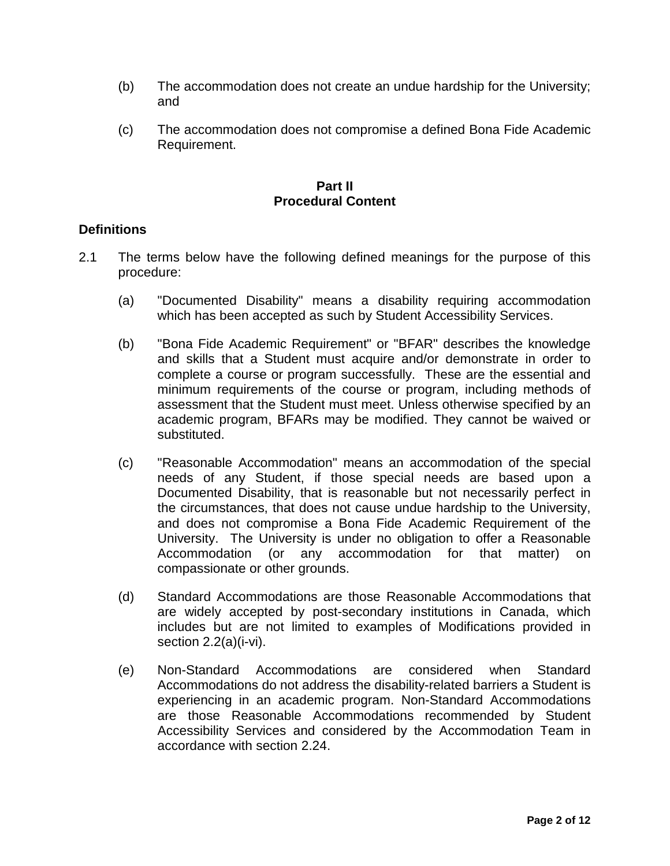- (b) The accommodation does not create an undue hardship for the University; and
- (c) The accommodation does not compromise a defined Bona Fide Academic Requirement.

#### **Part II Procedural Content**

# **Definitions**

- 2.1 The terms below have the following defined meanings for the purpose of this procedure:
	- (a) "Documented Disability" means a disability requiring accommodation which has been accepted as such by Student Accessibility Services.
	- (b) "Bona Fide Academic Requirement" or "BFAR" describes the knowledge and skills that a Student must acquire and/or demonstrate in order to complete a course or program successfully. These are the essential and minimum requirements of the course or program, including methods of assessment that the Student must meet. Unless otherwise specified by an academic program, BFARs may be modified. They cannot be waived or substituted.
	- (c) "Reasonable Accommodation" means an accommodation of the special needs of any Student, if those special needs are based upon a Documented Disability, that is reasonable but not necessarily perfect in the circumstances, that does not cause undue hardship to the University, and does not compromise a Bona Fide Academic Requirement of the University. The University is under no obligation to offer a Reasonable Accommodation (or any accommodation for that matter) on compassionate or other grounds.
	- (d) Standard Accommodations are those Reasonable Accommodations that are widely accepted by post-secondary institutions in Canada, which includes but are not limited to examples of Modifications provided in section 2.2(a)(i-vi).
	- (e) Non-Standard Accommodations are considered when Standard Accommodations do not address the disability-related barriers a Student is experiencing in an academic program. Non-Standard Accommodations are those Reasonable Accommodations recommended by Student Accessibility Services and considered by the Accommodation Team in accordance with section 2.24.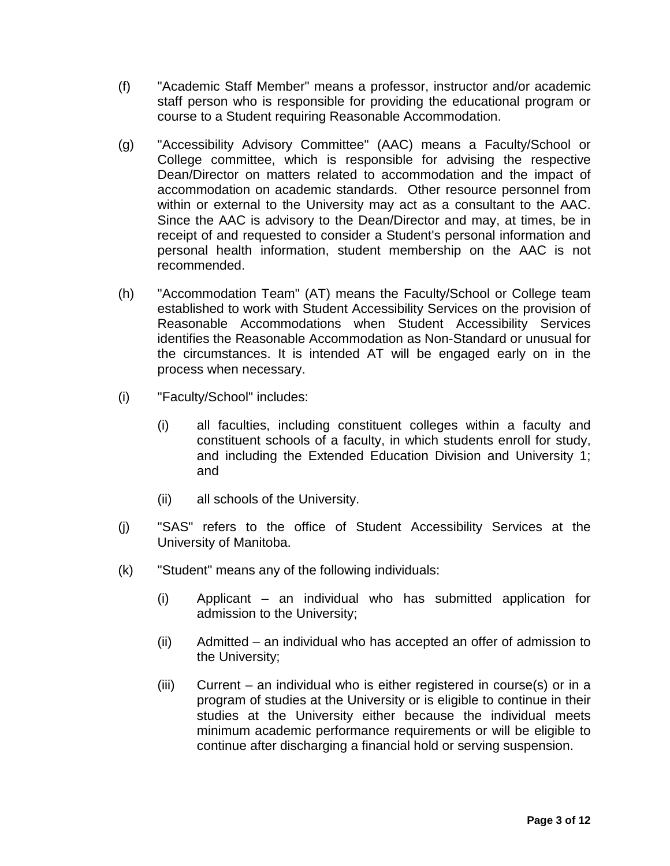- (f) "Academic Staff Member" means a professor, instructor and/or academic staff person who is responsible for providing the educational program or course to a Student requiring Reasonable Accommodation.
- (g) "Accessibility Advisory Committee" (AAC) means a Faculty/School or College committee, which is responsible for advising the respective Dean/Director on matters related to accommodation and the impact of accommodation on academic standards. Other resource personnel from within or external to the University may act as a consultant to the AAC. Since the AAC is advisory to the Dean/Director and may, at times, be in receipt of and requested to consider a Student's personal information and personal health information, student membership on the AAC is not recommended.
- (h) "Accommodation Team" (AT) means the Faculty/School or College team established to work with Student Accessibility Services on the provision of Reasonable Accommodations when Student Accessibility Services identifies the Reasonable Accommodation as Non-Standard or unusual for the circumstances. It is intended AT will be engaged early on in the process when necessary.
- (i) "Faculty/School" includes:
	- (i) all faculties, including constituent colleges within a faculty and constituent schools of a faculty, in which students enroll for study, and including the Extended Education Division and University 1; and
	- (ii) all schools of the University.
- (j) "SAS" refers to the office of Student Accessibility Services at the University of Manitoba.
- (k) "Student" means any of the following individuals:
	- (i) Applicant an individual who has submitted application for admission to the University;
	- (ii) Admitted an individual who has accepted an offer of admission to the University;
	- (iii) Current an individual who is either registered in course(s) or in a program of studies at the University or is eligible to continue in their studies at the University either because the individual meets minimum academic performance requirements or will be eligible to continue after discharging a financial hold or serving suspension.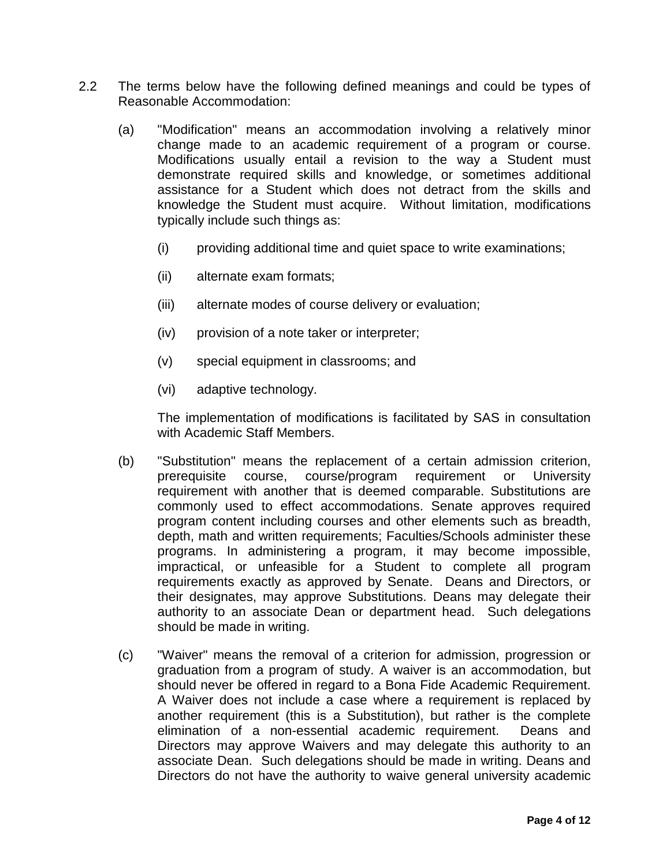- <span id="page-3-0"></span>2.2 The terms below have the following defined meanings and could be types of Reasonable Accommodation:
	- (a) "Modification" means an accommodation involving a relatively minor change made to an academic requirement of a program or course. Modifications usually entail a revision to the way a Student must demonstrate required skills and knowledge, or sometimes additional assistance for a Student which does not detract from the skills and knowledge the Student must acquire. Without limitation, modifications typically include such things as:
		- (i) providing additional time and quiet space to write examinations;
		- (ii) alternate exam formats;
		- (iii) alternate modes of course delivery or evaluation;
		- (iv) provision of a note taker or interpreter;
		- (v) special equipment in classrooms; and
		- (vi) adaptive technology.

The implementation of modifications is facilitated by SAS in consultation with Academic Staff Members.

- (b) "Substitution" means the replacement of a certain admission criterion, prerequisite course, course/program requirement or University requirement with another that is deemed comparable. Substitutions are commonly used to effect accommodations. Senate approves required program content including courses and other elements such as breadth, depth, math and written requirements; Faculties/Schools administer these programs. In administering a program, it may become impossible, impractical, or unfeasible for a Student to complete all program requirements exactly as approved by Senate. Deans and Directors, or their designates, may approve Substitutions. Deans may delegate their authority to an associate Dean or department head. Such delegations should be made in writing.
- (c) "Waiver" means the removal of a criterion for admission, progression or graduation from a program of study. A waiver is an accommodation, but should never be offered in regard to a Bona Fide Academic Requirement. A Waiver does not include a case where a requirement is replaced by another requirement (this is a Substitution), but rather is the complete elimination of a non-essential academic requirement. Deans and Directors may approve Waivers and may delegate this authority to an associate Dean. Such delegations should be made in writing. Deans and Directors do not have the authority to waive general university academic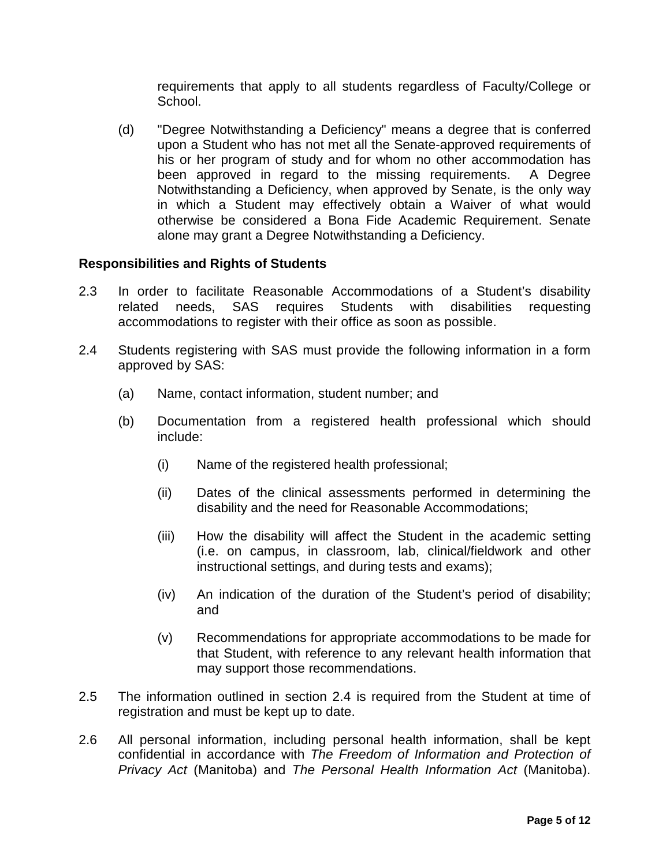requirements that apply to all students regardless of Faculty/College or School.

(d) "Degree Notwithstanding a Deficiency" means a degree that is conferred upon a Student who has not met all the Senate-approved requirements of his or her program of study and for whom no other accommodation has been approved in regard to the missing requirements. A Degree Notwithstanding a Deficiency, when approved by Senate, is the only way in which a Student may effectively obtain a Waiver of what would otherwise be considered a Bona Fide Academic Requirement. Senate alone may grant a Degree Notwithstanding a Deficiency.

# **Responsibilities and Rights of Students**

- 2.3 In order to facilitate Reasonable Accommodations of a Student's disability<br>related needs. SAS requires Students with disabilities requesting related needs, SAS requires Students with disabilities requesting accommodations to register with their office as soon as possible.
- <span id="page-4-0"></span>2.4 Students registering with SAS must provide the following information in a form approved by SAS:
	- (a) Name, contact information, student number; and
	- (b) Documentation from a registered health professional which should include:
		- (i) Name of the registered health professional;
		- (ii) Dates of the clinical assessments performed in determining the disability and the need for Reasonable Accommodations;
		- (iii) How the disability will affect the Student in the academic setting (i.e. on campus, in classroom, lab, clinical/fieldwork and other instructional settings, and during tests and exams);
		- (iv) An indication of the duration of the Student's period of disability; and
		- (v) Recommendations for appropriate accommodations to be made for that Student, with reference to any relevant health information that may support those recommendations.
- 2.5 The information outlined in section [2.4](#page-4-0) is required from the Student at time of registration and must be kept up to date.
- 2.6 All personal information, including personal health information, shall be kept confidential in accordance with *The Freedom of Information and Protection of Privacy Act* (Manitoba) and *The Personal Health Information Act* (Manitoba).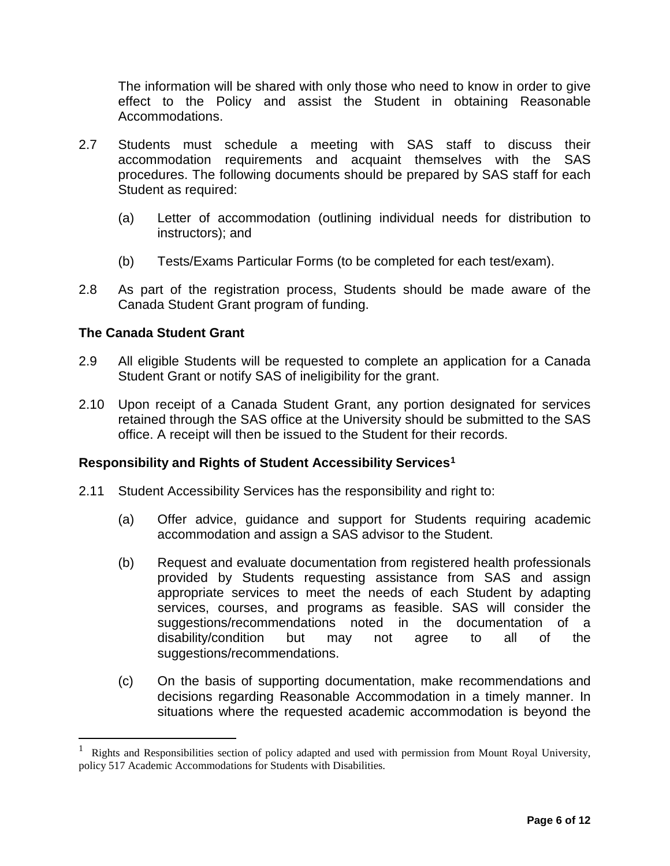The information will be shared with only those who need to know in order to give effect to the Policy and assist the Student in obtaining Reasonable Accommodations.

- 2.7 Students must schedule a meeting with SAS staff to discuss their accommodation requirements and acquaint themselves with the SAS procedures. The following documents should be prepared by SAS staff for each Student as required:
	- (a) Letter of accommodation (outlining individual needs for distribution to instructors); and
	- (b) Tests/Exams Particular Forms (to be completed for each test/exam).
- 2.8 As part of the registration process, Students should be made aware of the Canada Student Grant program of funding.

# **The Canada Student Grant**

- 2.9 All eligible Students will be requested to complete an application for a Canada Student Grant or notify SAS of ineligibility for the grant.
- 2.10 Upon receipt of a Canada Student Grant, any portion designated for services retained through the SAS office at the University should be submitted to the SAS office. A receipt will then be issued to the Student for their records.

#### **Responsibility and Rights of Student Accessibility Services[1](#page-5-0)**

- 2.11 Student Accessibility Services has the responsibility and right to:
	- (a) Offer advice, guidance and support for Students requiring academic accommodation and assign a SAS advisor to the Student.
	- (b) Request and evaluate documentation from registered health professionals provided by Students requesting assistance from SAS and assign appropriate services to meet the needs of each Student by adapting services, courses, and programs as feasible. SAS will consider the suggestions/recommendations noted in the documentation of a disability/condition but may not agree to all of the suggestions/recommendations.
	- (c) On the basis of supporting documentation, make recommendations and decisions regarding Reasonable Accommodation in a timely manner. In situations where the requested academic accommodation is beyond the

<span id="page-5-0"></span><sup>1</sup> Rights and Responsibilities section of policy adapted and used with permission from Mount Royal University, policy 517 Academic Accommodations for Students with Disabilities.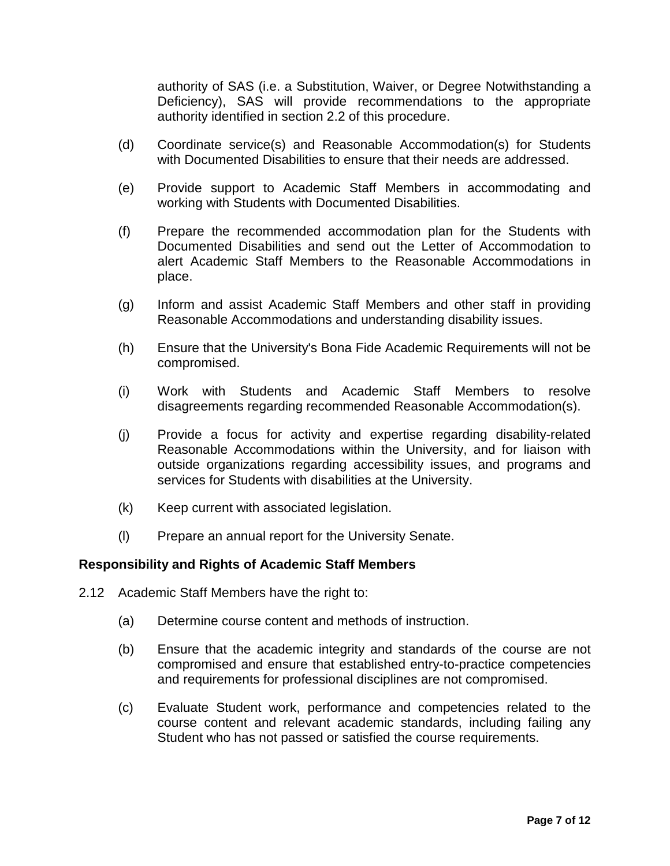authority of SAS (i.e. a Substitution, Waiver, or Degree Notwithstanding a Deficiency), SAS will provide recommendations to the appropriate authority identified in section [2.2](#page-3-0) of this procedure.

- (d) Coordinate service(s) and Reasonable Accommodation(s) for Students with Documented Disabilities to ensure that their needs are addressed.
- (e) Provide support to Academic Staff Members in accommodating and working with Students with Documented Disabilities.
- (f) Prepare the recommended accommodation plan for the Students with Documented Disabilities and send out the Letter of Accommodation to alert Academic Staff Members to the Reasonable Accommodations in place.
- (g) Inform and assist Academic Staff Members and other staff in providing Reasonable Accommodations and understanding disability issues.
- (h) Ensure that the University's Bona Fide Academic Requirements will not be compromised.
- (i) Work with Students and Academic Staff Members to resolve disagreements regarding recommended Reasonable Accommodation(s).
- (j) Provide a focus for activity and expertise regarding disability-related Reasonable Accommodations within the University, and for liaison with outside organizations regarding accessibility issues, and programs and services for Students with disabilities at the University.
- (k) Keep current with associated legislation.
- (l) Prepare an annual report for the University Senate.

#### **Responsibility and Rights of Academic Staff Members**

- 2.12 Academic Staff Members have the right to:
	- (a) Determine course content and methods of instruction.
	- (b) Ensure that the academic integrity and standards of the course are not compromised and ensure that established entry-to-practice competencies and requirements for professional disciplines are not compromised.
	- (c) Evaluate Student work, performance and competencies related to the course content and relevant academic standards, including failing any Student who has not passed or satisfied the course requirements.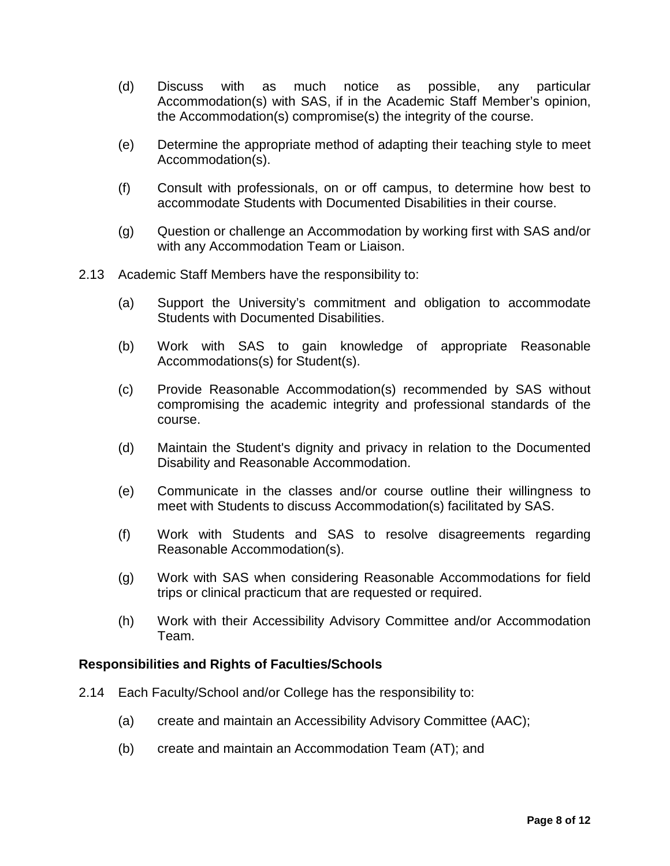- (d) Discuss with as much notice as possible, any particular Accommodation(s) with SAS, if in the Academic Staff Member's opinion, the Accommodation(s) compromise(s) the integrity of the course.
- (e) Determine the appropriate method of adapting their teaching style to meet Accommodation(s).
- (f) Consult with professionals, on or off campus, to determine how best to accommodate Students with Documented Disabilities in their course.
- (g) Question or challenge an Accommodation by working first with SAS and/or with any Accommodation Team or Liaison.
- 2.13 Academic Staff Members have the responsibility to:
	- (a) Support the University's commitment and obligation to accommodate Students with Documented Disabilities.
	- (b) Work with SAS to gain knowledge of appropriate Reasonable Accommodations(s) for Student(s).
	- (c) Provide Reasonable Accommodation(s) recommended by SAS without compromising the academic integrity and professional standards of the course.
	- (d) Maintain the Student's dignity and privacy in relation to the Documented Disability and Reasonable Accommodation.
	- (e) Communicate in the classes and/or course outline their willingness to meet with Students to discuss Accommodation(s) facilitated by SAS.
	- (f) Work with Students and SAS to resolve disagreements regarding Reasonable Accommodation(s).
	- (g) Work with SAS when considering Reasonable Accommodations for field trips or clinical practicum that are requested or required.
	- (h) Work with their Accessibility Advisory Committee and/or Accommodation Team.

#### **Responsibilities and Rights of Faculties/Schools**

- 2.14 Each Faculty/School and/or College has the responsibility to:
	- (a) create and maintain an Accessibility Advisory Committee (AAC);
	- (b) create and maintain an Accommodation Team (AT); and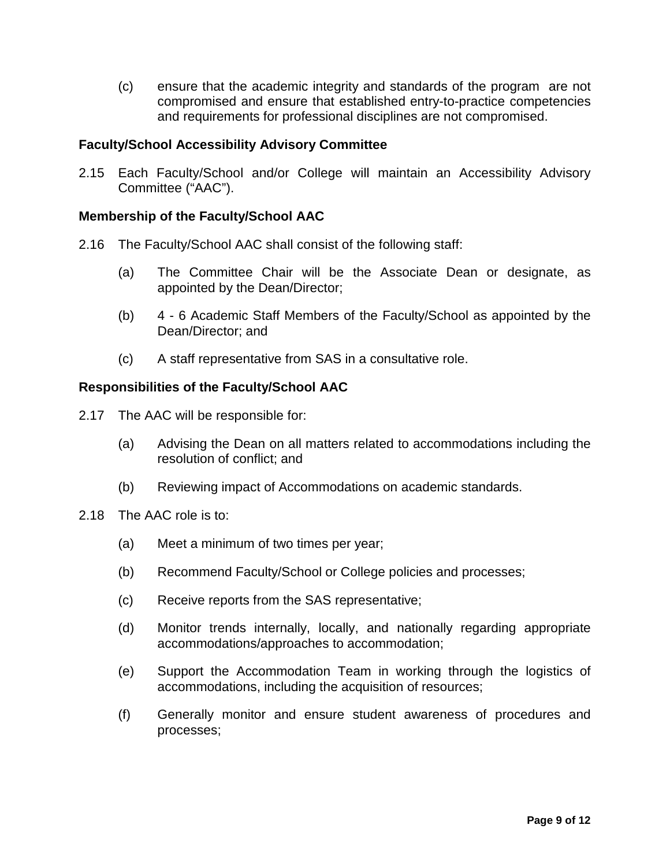(c) ensure that the academic integrity and standards of the program are not compromised and ensure that established entry-to-practice competencies and requirements for professional disciplines are not compromised.

# **Faculty/School Accessibility Advisory Committee**

2.15 Each Faculty/School and/or College will maintain an Accessibility Advisory Committee ("AAC").

#### **Membership of the Faculty/School AAC**

- 2.16 The Faculty/School AAC shall consist of the following staff:
	- (a) The Committee Chair will be the Associate Dean or designate, as appointed by the Dean/Director;
	- (b) 4 6 Academic Staff Members of the Faculty/School as appointed by the Dean/Director; and
	- (c) A staff representative from SAS in a consultative role.

# **Responsibilities of the Faculty/School AAC**

- 2.17 The AAC will be responsible for:
	- (a) Advising the Dean on all matters related to accommodations including the resolution of conflict; and
	- (b) Reviewing impact of Accommodations on academic standards.
- 2.18 The AAC role is to:
	- (a) Meet a minimum of two times per year;
	- (b) Recommend Faculty/School or College policies and processes;
	- (c) Receive reports from the SAS representative;
	- (d) Monitor trends internally, locally, and nationally regarding appropriate accommodations/approaches to accommodation;
	- (e) Support the Accommodation Team in working through the logistics of accommodations, including the acquisition of resources;
	- (f) Generally monitor and ensure student awareness of procedures and processes;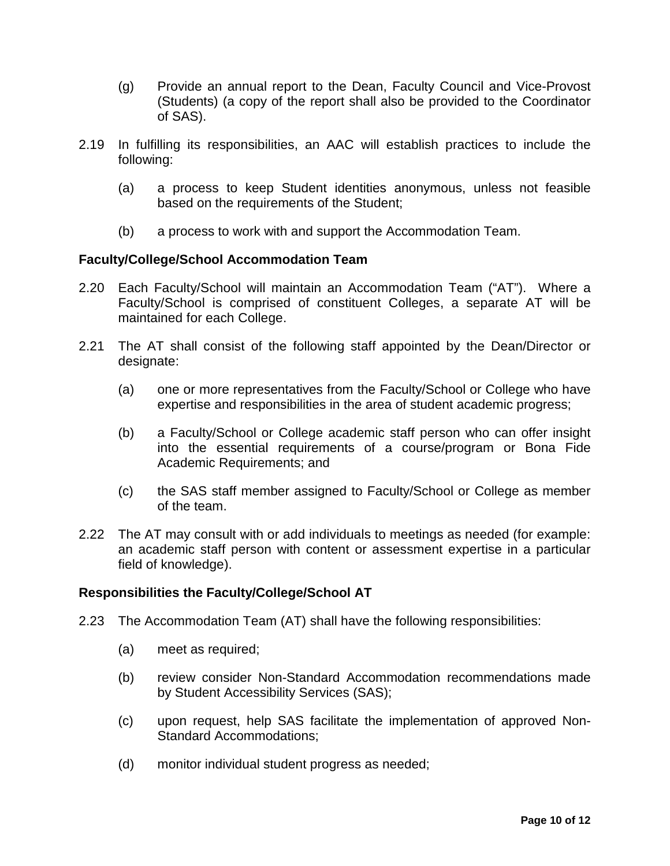- (g) Provide an annual report to the Dean, Faculty Council and Vice-Provost (Students) (a copy of the report shall also be provided to the Coordinator of SAS).
- 2.19 In fulfilling its responsibilities, an AAC will establish practices to include the following:
	- (a) a process to keep Student identities anonymous, unless not feasible based on the requirements of the Student;
	- (b) a process to work with and support the Accommodation Team.

# **Faculty/College/School Accommodation Team**

- 2.20 Each Faculty/School will maintain an Accommodation Team ("AT"). Where a Faculty/School is comprised of constituent Colleges, a separate AT will be maintained for each College.
- 2.21 The AT shall consist of the following staff appointed by the Dean/Director or designate:
	- (a) one or more representatives from the Faculty/School or College who have expertise and responsibilities in the area of student academic progress;
	- (b) a Faculty/School or College academic staff person who can offer insight into the essential requirements of a course/program or Bona Fide Academic Requirements; and
	- (c) the SAS staff member assigned to Faculty/School or College as member of the team.
- 2.22 The AT may consult with or add individuals to meetings as needed (for example: an academic staff person with content or assessment expertise in a particular field of knowledge).

# **Responsibilities the Faculty/College/School AT**

- 2.23 The Accommodation Team (AT) shall have the following responsibilities:
	- (a) meet as required;
	- (b) review consider Non-Standard Accommodation recommendations made by Student Accessibility Services (SAS);
	- (c) upon request, help SAS facilitate the implementation of approved Non-Standard Accommodations;
	- (d) monitor individual student progress as needed;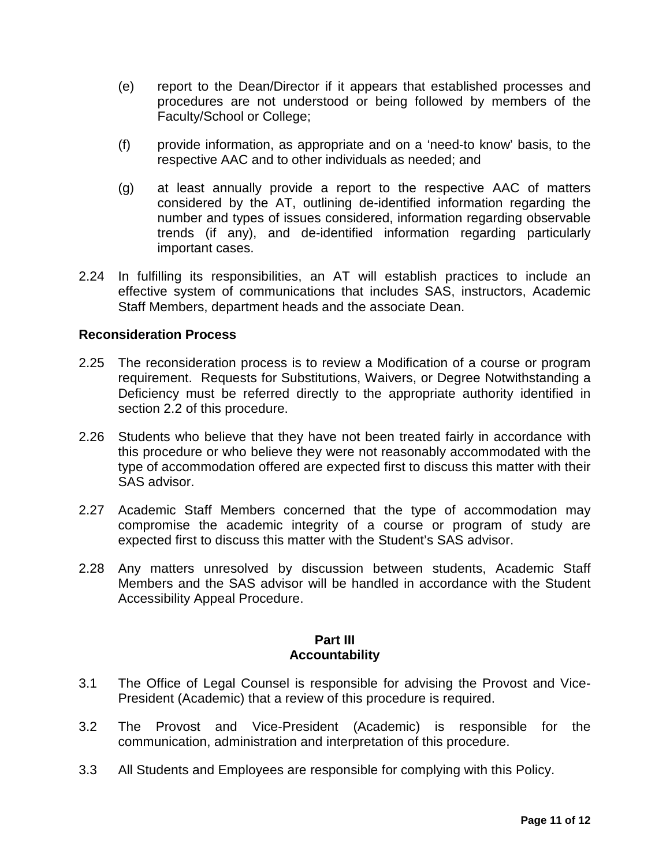- (e) report to the Dean/Director if it appears that established processes and procedures are not understood or being followed by members of the Faculty/School or College;
- (f) provide information, as appropriate and on a 'need-to know' basis, to the respective AAC and to other individuals as needed; and
- (g) at least annually provide a report to the respective AAC of matters considered by the AT, outlining de-identified information regarding the number and types of issues considered, information regarding observable trends (if any), and de-identified information regarding particularly important cases.
- 2.24 In fulfilling its responsibilities, an AT will establish practices to include an effective system of communications that includes SAS, instructors, Academic Staff Members, department heads and the associate Dean.

# **Reconsideration Process**

- 2.25 The reconsideration process is to review a Modification of a course or program requirement. Requests for Substitutions, Waivers, or Degree Notwithstanding a Deficiency must be referred directly to the appropriate authority identified in section [2.2](#page-3-0) of this procedure.
- 2.26 Students who believe that they have not been treated fairly in accordance with this procedure or who believe they were not reasonably accommodated with the type of accommodation offered are expected first to discuss this matter with their SAS advisor.
- 2.27 Academic Staff Members concerned that the type of accommodation may compromise the academic integrity of a course or program of study are expected first to discuss this matter with the Student's SAS advisor.
- 2.28 Any matters unresolved by discussion between students, Academic Staff Members and the SAS advisor will be handled in accordance with the Student Accessibility Appeal Procedure.

#### **Part III Accountability**

- 3.1 The Office of Legal Counsel is responsible for advising the Provost and Vice-President (Academic) that a review of this procedure is required.
- 3.2 The Provost and Vice-President (Academic) is responsible for the communication, administration and interpretation of this procedure.
- 3.3 All Students and Employees are responsible for complying with this Policy.